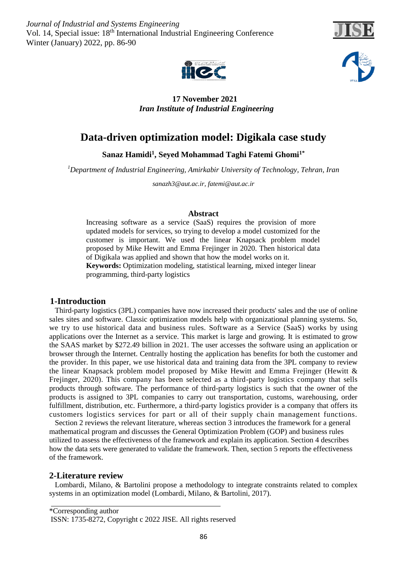*Journal of Industrial and Systems Engineering* Vol. 14, Special issue: 18<sup>th</sup> International Industrial Engineering Conference Winter (January) 2022, pp. 86-90







 **17 November 2021** *Iran Institute of Industrial Engineering* 

# **Data-driven optimization model: Digikala case study**

**Sanaz Hamidi<sup>1</sup> , Seyed Mohammad Taghi Fatemi Ghomi1\***

*<sup>1</sup>Department of Industrial Engineering, Amirkabir University of Technology, Tehran, Iran*

*[sanazh3@aut.ac.ir,](mailto:sanazh3@aut.ac.ir) [fatemi@aut.ac.ir](mailto:fatemi@aut.ac.ir)*

#### **Abstract**

Increasing software as a service (SaaS) requires the provision of more updated models for services, so trying to develop a model customized for the customer is important. We used the linear Knapsack problem model proposed by Mike Hewitt and Emma Frejinger in 2020. Then historical data of Digikala was applied and shown that how the model works on it. **Keywords:** Optimization modeling, statistical learning, mixed integer linear programming, third-party logistics

## **1-Introduction**

 Third-party logistics (3PL) companies have now increased their products' sales and the use of online sales sites and software. Classic optimization models help with organizational planning systems. So, we try to use historical data and business rules. Software as a Service (SaaS) works by using applications over the Internet as a service. This market is large and growing. It is estimated to grow the SAAS market by \$272.49 billion in 2021. The user accesses the software using an application or browser through the Internet. Centrally hosting the application has benefits for both the customer and the provider. In this paper, we use historical data and training data from the 3PL company to review the linear Knapsack problem model proposed by Mike Hewitt and Emma Frejinger (Hewitt & Frejinger, 2020). This company has been selected as a third-party logistics company that sells products through software. The performance of third-party logistics is such that the owner of the products is assigned to 3PL companies to carry out transportation, customs, warehousing, order fulfillment, distribution, etc. Furthermore, a third-party logistics provider is a company that offers its customers logistics services for part or all of their supply chain management functions.

 Section 2 reviews the relevant literature, whereas section 3 introduces the framework for a general mathematical program and discusses the General Optimization Problem (GOP) and business rules utilized to assess the effectiveness of the framework and explain its application. Section 4 describes how the data sets were generated to validate the framework. Then, section 5 reports the effectiveness of the framework.

## **2-Literature review**

 Lombardi, Milano, & Bartolini propose a methodology to integrate constraints related to complex systems in an optimization model (Lombardi, Milano, & Bartolini, 2017).

<sup>\*</sup>Corresponding author ISSN: 1735-8272, Copyright c 2022 JISE. All rights reserved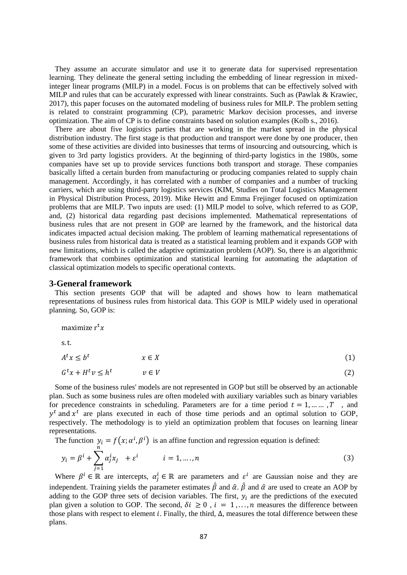They assume an accurate simulator and use it to generate data for supervised representation learning. They delineate the general setting including the embedding of linear regression in mixedinteger linear programs (MILP) in a model. Focus is on problems that can be effectively solved with MILP and rules that can be accurately expressed with linear constraints. Such as (Pawlak & Krawiec, 2017), this paper focuses on the automated modeling of business rules for MILP. The problem setting is related to constraint programming (CP), parametric Markov decision processes, and inverse optimization. The aim of CP is to define constraints based on solution examples (Kolb s., 2016).

 There are about five logistics parties that are working in the market spread in the physical distribution industry. The first stage is that production and transport were done by one producer, then some of these activities are divided into businesses that terms of insourcing and outsourcing, which is given to 3rd party logistics providers. At the beginning of third-party logistics in the 1980s, some companies have set up to provide services functions both transport and storage. These companies basically lifted a certain burden from manufacturing or producing companies related to supply chain management. Accordingly, it has correlated with a number of companies and a number of trucking carriers, which are using third-party logistics services (KIM, Studies on Total Logistics Management in Physical Distribution Process, 2019). Mike Hewitt and Emma Frejinger focused on optimization problems that are MILP. Two inputs are used: (1) MILP model to solve, which referred to as GOP, and, (2) historical data regarding past decisions implemented. Mathematical representations of business rules that are not present in GOP are learned by the framework, and the historical data indicates impacted actual decision making. The problem of learning mathematical representations of business rules from historical data is treated as a statistical learning problem and it expands GOP with new limitations, which is called the adaptive optimization problem (AOP). So, there is an algorithmic framework that combines optimization and statistical learning for automating the adaptation of classical optimization models to specific operational contexts.

#### **3-General framework**

 This section presents GOP that will be adapted and shows how to learn mathematical representations of business rules from historical data. This GOP is MILP widely used in operational planning. So, GOP is:

maximize 
$$
r^t x
$$
  
s.t.  
 $A^t x \leq b^t \qquad x \in X$   
 $G^t x + H^t v \leq h^t \qquad v \in V$  (2)

 Some of the business rules' models are not represented in GOP but still be observed by an actionable plan. Such as some business rules are often modeled with auxiliary variables such as binary variables for precedence constraints in scheduling. Parameters are for a time period  $t = 1, ..., T$ , and  $y<sup>t</sup>$  and  $x<sup>t</sup>$  are plans executed in each of those time periods and an optimal solution to GOP, respectively. The methodology is to yield an optimization problem that focuses on learning linear representations.

The function  $y_i = f(x; \alpha^i, \beta^i)$  is an affine function and regression equation is defined:

$$
y_i = \beta^i + \sum_{j=1}^n \alpha_j^i x_j + \varepsilon^i \qquad i = 1, \dots, n
$$
 (3)

Where  $\beta^i \in \mathbb{R}$  are intercepts,  $\alpha_j^i \in \mathbb{R}$  are parameters and  $\varepsilon^i$  are Gaussian noise and they are independent. Training yields the parameter estimates  $\hat{\beta}$  and  $\hat{\alpha}$ .  $\hat{\beta}$  and  $\hat{\alpha}$  are used to create an AOP by adding to the GOP three sets of decision variables. The first,  $y_i$  are the predictions of the executed plan given a solution to GOP. The second,  $\delta i \geq 0$ ,  $i = 1, ..., n$  measures the difference between those plans with respect to element *i*. Finally, the third,  $\Delta$ , measures the total difference between these plans.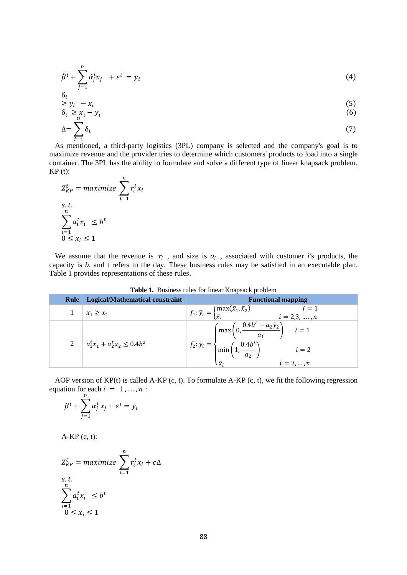$$
\hat{\beta}^i + \sum_{j=1}^n \hat{\alpha}_j^i x_j + \varepsilon^i = y_i \tag{4}
$$

$$
\delta_i
$$
  
\n
$$
\geq y_i - x_i
$$
  
\n
$$
\delta_i \geq x_i - y_i
$$
\n(5)

$$
\Delta = \sum_{i=1}^{n} \delta_i \tag{7}
$$

 $i=1$ <br>As mentioned, a third-party logistics (3PL) company is selected and the company's goal is to maximize revenue and the provider tries to determine which customers' products to load into a single container. The 3PL has the ability to formulate and solve a different type of linear knapsack problem,  $KP(t)$ :

$$
Z_{KP}^t = \text{maximize } \sum_{i=1}^n r_i^t x_i
$$
  
s.t.  

$$
\sum_{i=1}^n a_i^t x_i \le b^t
$$
  

$$
0 \le x_i \le 1
$$

We assume that the revenue is  $r_i$ , and size is  $a_i$ , associated with customer *i*'s products, the capacity is *b,* and t refers to the day. These business rules may be satisfied in an executable plan. Table 1 provides representations of these rules.

| Rule | <b>Logical/Mathematical constraint</b> | <b>Functional mapping</b>                                                                                                                                                      |  |  |  |
|------|----------------------------------------|--------------------------------------------------------------------------------------------------------------------------------------------------------------------------------|--|--|--|
|      | $x_1 \geq x_2$                         | $f_1: \bar{y}_i = \begin{cases} \max(\bar{x}_1, \bar{x}_2) \\ \bar{x}_i \end{cases}$<br>$i=1$<br>$i = 2,3, , n$                                                                |  |  |  |
|      | 2 $a_1^t x_1 + a_2^t x_2 \le 0.4b^2$   | $\left(\max\left(0, \frac{0.4b^t - a_2\bar{y}_2}{a_1}\right) \quad i=1\right)$<br>$f_2: \bar{y}_i = \begin{cases} \min\left(1, \frac{0.4b^t}{a_2}\right) \end{cases}$<br>$i=2$ |  |  |  |
|      |                                        | $\bar{\mathbf{y}}$<br>$i = 3, , n$                                                                                                                                             |  |  |  |

**Table 1.** Business rules for linear Knapsack problem

 AOP version of KP(t) is called A-KP (c, t). To formulate A-KP (c, t), we fit the following regression equation for each  $i = 1, ..., n$ :

$$
\beta^i + \sum_{j=1}^n \alpha_j^i x_j + \varepsilon^i = y_i
$$

 $A-KP$  (c, t):

$$
Z_{KP}^t = \text{maximize } \sum_{i=1}^n r_i^t x_i + c\Delta
$$
  
s.t.  

$$
\sum_{i=1}^n a_i^t x_i \leq b^t
$$
  

$$
0 \leq x_i \leq 1
$$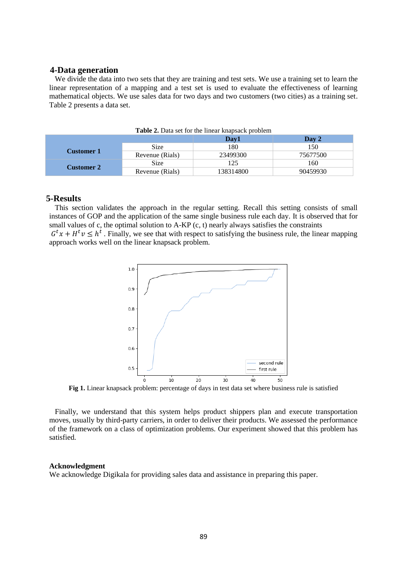#### **4-Data generation**

We divide the data into two sets that they are training and test sets. We use a training set to learn the linear representation of a mapping and a test set is used to evaluate the effectiveness of learning mathematical objects. We use sales data for two days and two customers (two cities) as a training set. Table 2 presents a data set.

|                   |                    | Day1      | Day 2    |
|-------------------|--------------------|-----------|----------|
|                   | 180<br><b>Size</b> | 150       |          |
| <b>Customer 1</b> | Revenue (Rials)    | 23499300  | 75677500 |
|                   | Size               | 25        | 160      |
| <b>Customer 2</b> | Revenue (Rials)    | 138314800 | 90459930 |

| Table 2. Data set for the linear knapsack problem |
|---------------------------------------------------|
|---------------------------------------------------|

## **5-Results**

 This section validates the approach in the regular setting. Recall this setting consists of small instances of GOP and the application of the same single business rule each day. It is observed that for small values of c, the optimal solution to A-KP (c, t) nearly always satisfies the constraints

 $G^t x + H^t v \leq h^t$ . Finally, we see that with respect to satisfying the business rule, the linear mapping approach works well on the linear knapsack problem.



**Fig 1.** Linear knapsack problem: percentage of days in test data set where business rule is satisfied

 Finally, we understand that this system helps product shippers plan and execute transportation moves, usually by third-party carriers, in order to deliver their products. We assessed the performance of the framework on a class of optimization problems. Our experiment showed that this problem has satisfied.

## **Acknowledgment**

We acknowledge Digikala for providing sales data and assistance in preparing this paper.